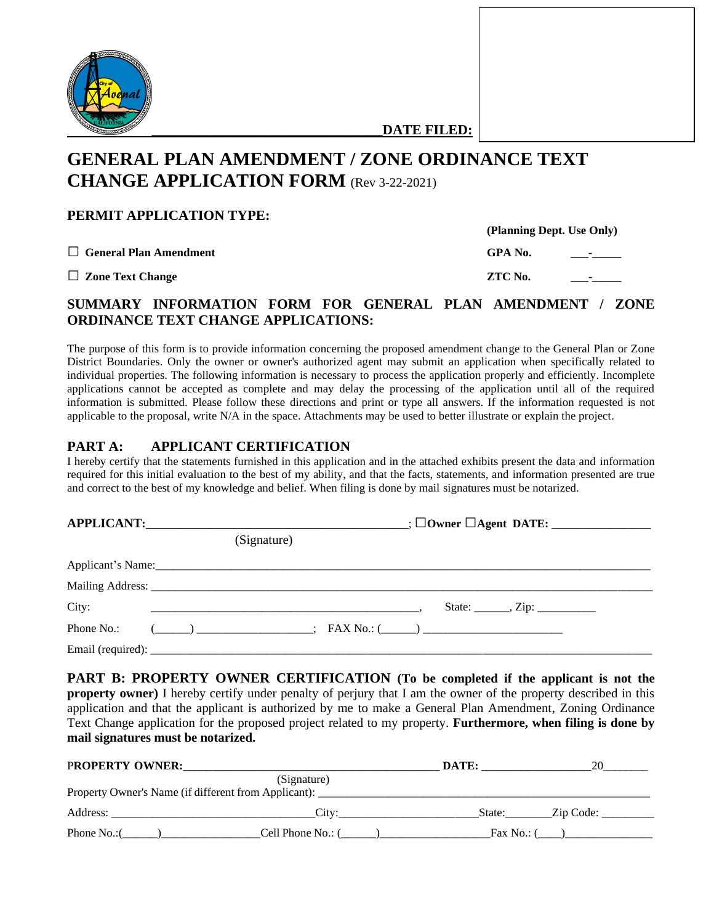

**\_\_\_\_\_\_\_\_\_\_\_\_\_\_\_\_\_\_\_\_\_\_\_\_\_\_\_\_\_\_\_\_\_DATE FILED:**

# **GENERAL PLAN AMENDMENT / ZONE ORDINANCE TEXT CHANGE APPLICATION FORM** (Rev 3-22-2021)

## **PERMIT APPLICATION TYPE:**

□ **General Plan Amendment** 

**□ Zone Text Change ZTC No. \_\_\_-\_\_\_\_\_**

| GPA No. |  |
|---------|--|
|         |  |

**(Planning Dept. Use Only)**

| ZTC No. |  |
|---------|--|
|         |  |

## **SUMMARY INFORMATION FORM FOR GENERAL PLAN AMENDMENT / ZONE ORDINANCE TEXT CHANGE APPLICATIONS:**

The purpose of this form is to provide information concerning the proposed amendment change to the General Plan or Zone District Boundaries. Only the owner or owner's authorized agent may submit an application when specifically related to individual properties. The following information is necessary to process the application properly and efficiently. Incomplete applications cannot be accepted as complete and may delay the processing of the application until all of the required information is submitted. Please follow these directions and print or type all answers. If the information requested is not applicable to the proposal, write N/A in the space. Attachments may be used to better illustrate or explain the project.

#### **PART A: APPLICANT CERTIFICATION**

I hereby certify that the statements furnished in this application and in the attached exhibits present the data and information required for this initial evaluation to the best of my ability, and that the facts, statements, and information presented are true and correct to the best of my knowledge and belief. When filing is done by mail signatures must be notarized.

|            | (Signature)                                                                                                                                                                                                                                                                                                         |  |  |  |
|------------|---------------------------------------------------------------------------------------------------------------------------------------------------------------------------------------------------------------------------------------------------------------------------------------------------------------------|--|--|--|
|            |                                                                                                                                                                                                                                                                                                                     |  |  |  |
|            |                                                                                                                                                                                                                                                                                                                     |  |  |  |
| City:      |                                                                                                                                                                                                                                                                                                                     |  |  |  |
| Phone No.: | $\frac{1}{1}$ $\frac{1}{1}$ $\frac{1}{1}$ $\frac{1}{1}$ $\frac{1}{1}$ $\frac{1}{1}$ $\frac{1}{1}$ $\frac{1}{1}$ $\frac{1}{1}$ $\frac{1}{1}$ $\frac{1}{1}$ $\frac{1}{1}$ $\frac{1}{1}$ $\frac{1}{1}$ $\frac{1}{1}$ $\frac{1}{1}$ $\frac{1}{1}$ $\frac{1}{1}$ $\frac{1}{1}$ $\frac{1}{1}$ $\frac{1}{1}$ $\frac{1}{1}$ |  |  |  |
|            |                                                                                                                                                                                                                                                                                                                     |  |  |  |

**PART B: PROPERTY OWNER CERTIFICATION (To be completed if the applicant is not the property owner)** I hereby certify under penalty of perjury that I am the owner of the property described in this application and that the applicant is authorized by me to make a General Plan Amendment, Zoning Ordinance Text Change application for the proposed project related to my property. **Furthermore, when filing is done by mail signatures must be notarized.**

| <b>PROPERTY OWNER:</b>                                                            |                   | DATE:        |           |
|-----------------------------------------------------------------------------------|-------------------|--------------|-----------|
|                                                                                   | (Signature)       |              |           |
| Property Owner's Name (if different from Applicant): ____________________________ |                   |              |           |
| Address:                                                                          | City              | State:       | Zip Code: |
| Phone No.:(                                                                       | Cell Phone No.: ( | Fax No.: $($ |           |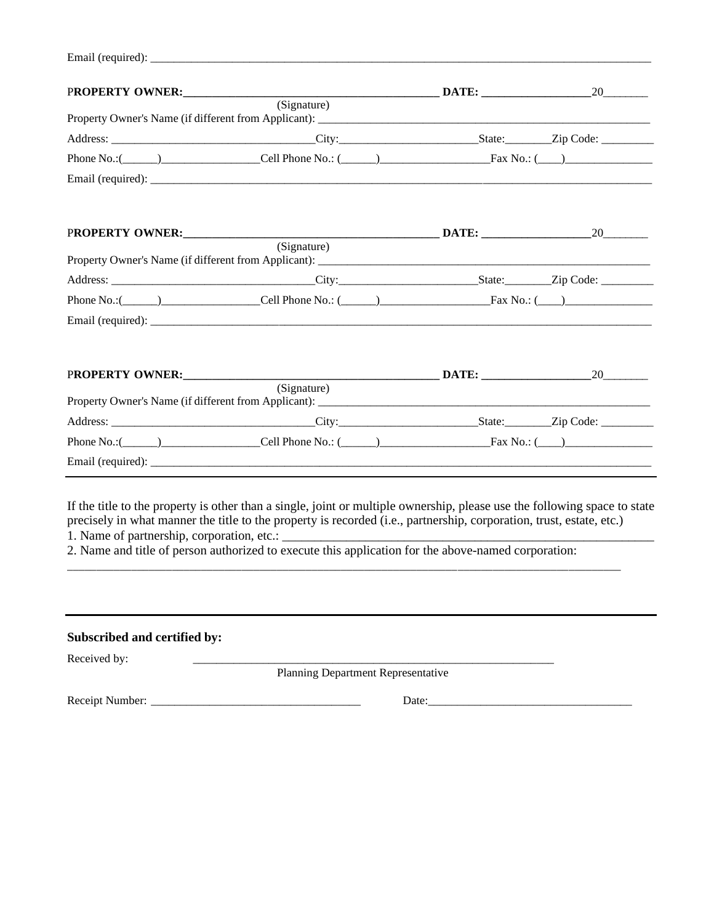| Email (required): | _____<br>________________ |  |
|-------------------|---------------------------|--|
|                   |                           |  |

|                 | $\overline{\text{(Sigma)}}$                                                                                                                                                                                                                                                                                                                                                                                                                    |    |
|-----------------|------------------------------------------------------------------------------------------------------------------------------------------------------------------------------------------------------------------------------------------------------------------------------------------------------------------------------------------------------------------------------------------------------------------------------------------------|----|
|                 |                                                                                                                                                                                                                                                                                                                                                                                                                                                |    |
|                 |                                                                                                                                                                                                                                                                                                                                                                                                                                                |    |
|                 |                                                                                                                                                                                                                                                                                                                                                                                                                                                |    |
|                 |                                                                                                                                                                                                                                                                                                                                                                                                                                                |    |
|                 |                                                                                                                                                                                                                                                                                                                                                                                                                                                |    |
|                 |                                                                                                                                                                                                                                                                                                                                                                                                                                                |    |
|                 | (s <sub>ignature</sub> )                                                                                                                                                                                                                                                                                                                                                                                                                       |    |
|                 |                                                                                                                                                                                                                                                                                                                                                                                                                                                |    |
|                 |                                                                                                                                                                                                                                                                                                                                                                                                                                                |    |
|                 |                                                                                                                                                                                                                                                                                                                                                                                                                                                |    |
|                 |                                                                                                                                                                                                                                                                                                                                                                                                                                                |    |
|                 |                                                                                                                                                                                                                                                                                                                                                                                                                                                |    |
|                 | (Signature)                                                                                                                                                                                                                                                                                                                                                                                                                                    | 20 |
|                 |                                                                                                                                                                                                                                                                                                                                                                                                                                                |    |
|                 | Phone No.: $\begin{array}{c}\n\end{array}$ $\begin{array}{c}\n\end{array}$ $\begin{array}{c}\n\end{array}$ $\begin{array}{c}\n\end{array}$ $\begin{array}{c}\n\end{array}$ $\begin{array}{c}\n\end{array}$ $\begin{array}{c}\n\end{array}$ $\begin{array}{c}\n\end{array}$ $\begin{array}{c}\n\end{array}$ $\begin{array}{c}\n\end{array}$ $\begin{array}{c}\n\end{array}$ $\begin{array}{c}\n\end{array}$ $\begin{array}{c}\n\end{array}$ $\$ |    |
| PROPERTY OWNER: |                                                                                                                                                                                                                                                                                                                                                                                                                                                |    |
|                 |                                                                                                                                                                                                                                                                                                                                                                                                                                                |    |

| Subscribed and certified by: |                                           |
|------------------------------|-------------------------------------------|
| Received by:                 | <b>Planning Department Representative</b> |
| Receipt Number:              | Date:                                     |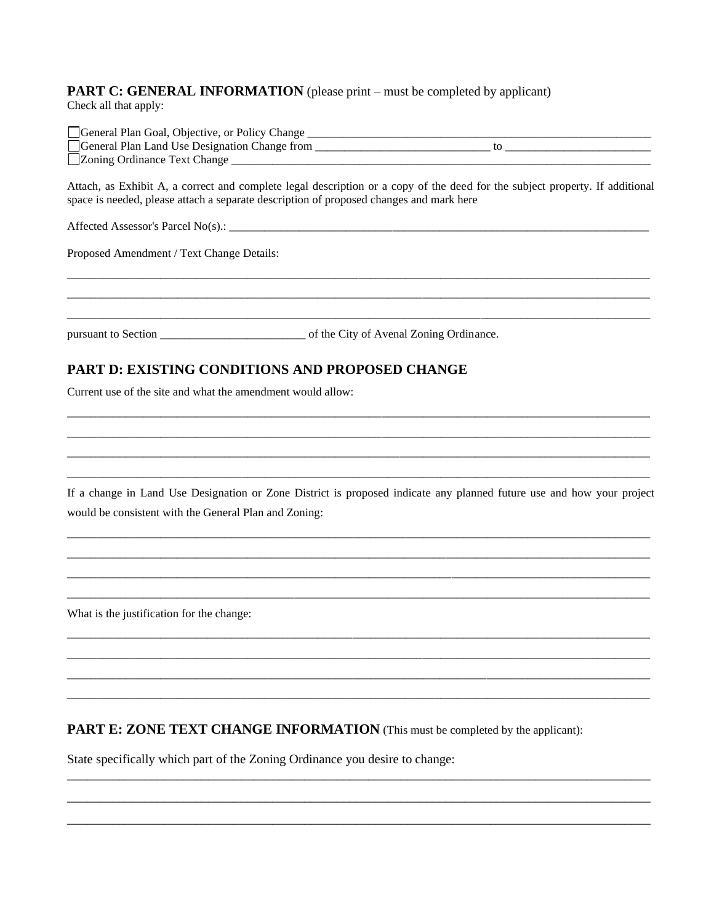#### **PART C: GENERAL INFORMATION** (please print – must be completed by applicant) Check all that apply:

| General Plan Goal, Objective, or Policy Change |  |
|------------------------------------------------|--|
| General Plan Land Use Designation Change from  |  |
| □Zoning Ordinance Text Change                  |  |

Attach, as Exhibit A, a correct and complete legal description or a copy of the deed for the subject property. If additional space is needed, please attach a separate description of proposed changes and mark here

Proposed Amendment / Text Change Details:

## **PART D: EXISTING CONDITIONS AND PROPOSED CHANGE**

Current use of the site and what the amendment would allow:

If a change in Land Use Designation or Zone District is proposed indicate any planned future use and how your project would be consistent with the General Plan and Zoning:

What is the justification for the change:

**PART E: ZONE TEXT CHANGE INFORMATION** (This must be completed by the applicant):

State specifically which part of the Zoning Ordinance you desire to change: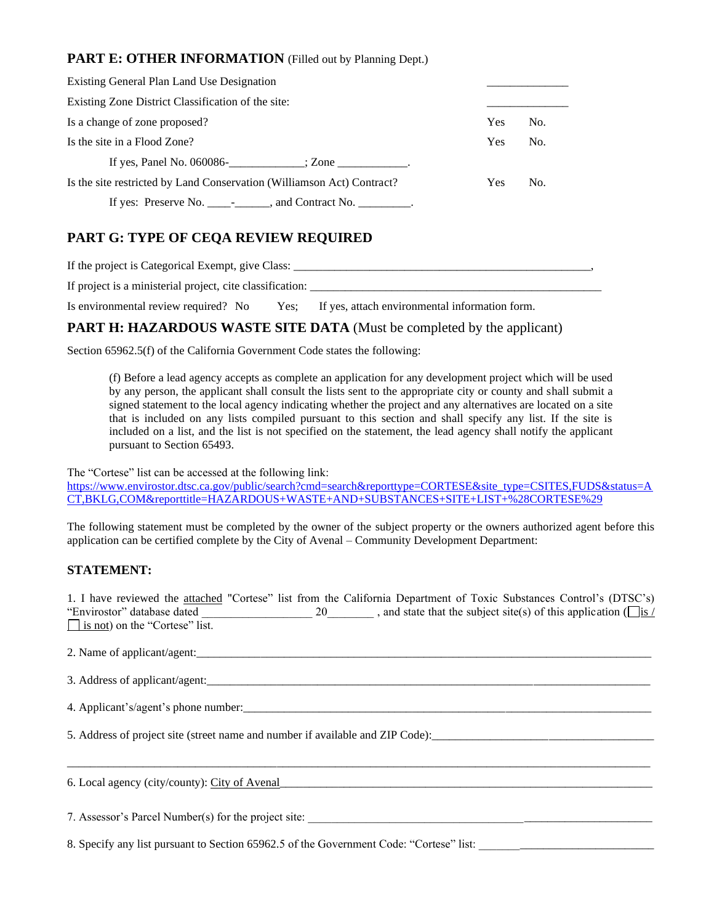### **PART E: OTHER INFORMATION** (Filled out by Planning Dept.)

| Existing General Plan Land Use Designation                                        |            |     |
|-----------------------------------------------------------------------------------|------------|-----|
| Existing Zone District Classification of the site:                                |            |     |
| Is a change of zone proposed?                                                     | <b>Yes</b> | No. |
| Is the site in a Flood Zone?                                                      | <b>Yes</b> | No. |
| If yes, Panel No. $060086$ - $\qquad \qquad$ ; Zone $\qquad \qquad$ .             |            |     |
| Is the site restricted by Land Conservation (Williamson Act) Contract?            | <b>Yes</b> | No. |
| If yes: Preserve No. $\frac{1}{\sqrt{2}}$ and Contract No. $\frac{1}{\sqrt{2}}$ . |            |     |

## **PART G: TYPE OF CEQA REVIEW REQUIRED**

If the project is Categorical Exempt, give Class: \_\_\_\_\_\_\_\_\_\_\_\_\_\_\_\_\_\_\_\_\_\_\_\_\_\_\_\_\_\_\_\_\_\_\_\_\_\_\_\_\_\_\_\_\_\_\_\_\_\_\_,

If project is a ministerial project, cite classification:

Is environmental review required? No Yes; If yes, attach environmental information form.

#### **PART H: HAZARDOUS WASTE SITE DATA** (Must be completed by the applicant)

Section 65962.5(f) of the California Government Code states the following:

(f) Before a lead agency accepts as complete an application for any development project which will be used by any person, the applicant shall consult the lists sent to the appropriate city or county and shall submit a signed statement to the local agency indicating whether the project and any alternatives are located on a site that is included on any lists compiled pursuant to this section and shall specify any list. If the site is included on a list, and the list is not specified on the statement, the lead agency shall notify the applicant pursuant to Section 65493.

The "Cortese" list can be accessed at the following link:

[https://www.envirostor.dtsc.ca.gov/public/search?cmd=search&reporttype=CORTESE&site\\_type=CSITES,FUDS&status=A](https://www.envirostor.dtsc.ca.gov/public/search?cmd=search&reporttype=CORTESE&site_type=CSITES,FUDS&status=ACT,BKLG,COM&reporttitle=HAZARDOUS+WASTE+AND+SUBSTANCES+SITE+LIST+%28CORTESE%29) [CT,BKLG,COM&reporttitle=HAZARDOUS+WASTE+AND+SUBSTANCES+SITE+LIST+%28CORTESE%29](https://www.envirostor.dtsc.ca.gov/public/search?cmd=search&reporttype=CORTESE&site_type=CSITES,FUDS&status=ACT,BKLG,COM&reporttitle=HAZARDOUS+WASTE+AND+SUBSTANCES+SITE+LIST+%28CORTESE%29)

The following statement must be completed by the owner of the subject property or the owners authorized agent before this application can be certified complete by the City of Avenal – Community Development Department:

#### **STATEMENT:**

1. I have reviewed the attached "Cortese" list from the California Department of Toxic Substances Control's (DTSC's) "Envirostor" database dated \_\_\_\_\_\_\_\_\_\_\_\_\_\_\_\_\_\_\_\_\_\_ 20\_\_\_\_\_\_\_\_\_, and state that the subject site(s) of this application ( $\sqrt{\frac{1}{12} \times 1}$  $\Box$  is not) on the "Cortese" list.

2. Name of applicant/agent:

\_\_\_\_\_\_\_\_\_\_\_\_\_\_\_\_\_\_\_\_\_\_\_\_\_\_\_\_\_\_\_\_\_\_\_\_\_\_\_\_\_\_\_\_\_\_\_\_\_\_\_\_\_\_\_\_\_\_\_\_\_\_\_\_\_\_\_\_\_\_\_\_\_\_\_\_\_\_\_\_\_\_\_\_\_\_\_\_\_\_\_\_\_\_\_\_\_\_\_\_

| 3. Address of applicant/agent: |  |
|--------------------------------|--|
|                                |  |

4. Applicant's/agent's phone number:\_\_\_\_\_\_\_\_\_\_\_\_\_\_\_\_\_\_\_\_\_\_\_\_\_\_\_\_\_\_\_\_\_\_\_\_\_\_\_\_\_\_\_\_\_\_\_\_\_\_\_\_\_\_\_\_\_\_\_\_\_\_\_\_\_\_\_\_\_\_

5. Address of project site (street name and number if available and ZIP Code):

6. Local agency (city/county): City of Avenal\_\_\_\_\_\_\_\_\_\_\_\_\_\_\_\_\_\_\_\_\_\_\_\_\_\_\_\_\_\_\_\_\_\_\_\_\_\_\_\_\_\_\_\_\_\_\_\_\_\_\_\_\_\_\_\_\_\_\_\_\_\_\_\_

7. Assessor's Parcel Number(s) for the project site: \_\_\_\_\_\_\_\_\_\_\_\_\_\_\_\_\_\_\_\_\_\_\_\_\_\_\_\_\_\_\_\_\_\_\_\_\_\_\_\_\_\_\_\_\_\_\_\_\_\_\_\_\_\_\_\_\_\_\_

8. Specify any list pursuant to Section 65962.5 of the Government Code: "Cortese" list: \_\_\_\_\_\_\_\_\_\_\_\_\_\_\_\_\_\_\_\_\_\_\_\_\_\_\_\_\_\_